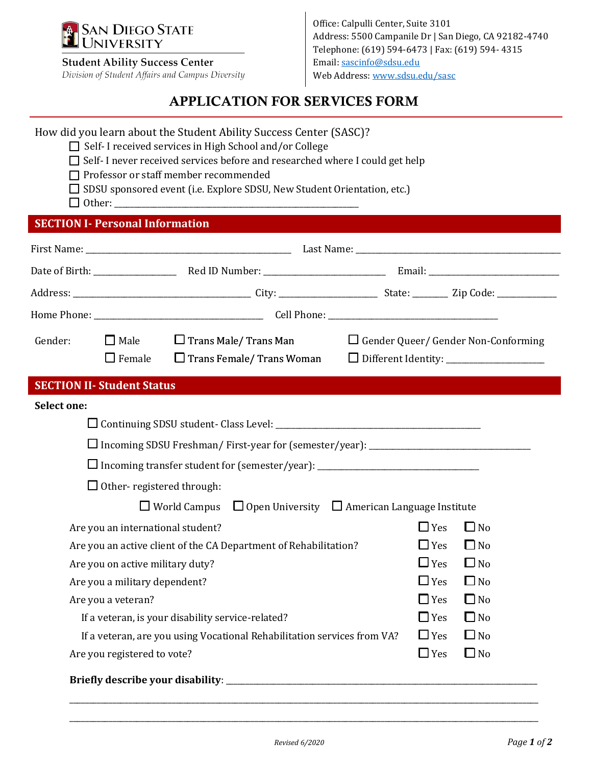

### **Student Ability Success Center**

Division of Student Affairs and Campus Diversity

Office: Calpulli Center, Suite 3101 Address: 5500 Campanile Dr | San Diego, CA 92182-4740 Telephone: (619) 594-6473 | Fax: (619) 594- 4315 Email[: sascinfo@sdsu.edu](mailto:sascinfo@sdsu.edu) Web Address[: www.sdsu.edu/sasc](http://www.sdsu.edu/sasc)

# APPLICATION FOR SERVICES FORM

## How did you learn about the Student Ability Success Center (SASC)?

- ☐ Self- I received services in High School and/or College
- □ Self- I never received services before and researched where I could get help
- ☐ Professor or staff member recommended
- □ SDSU sponsored event (i.e. Explore SDSU, New Student Orientation, etc.)
- $\Box$  Other:

# **SECTION I- Personal Information**

| Gender:                                                                                              | $\Box$ Male                                                             | $\Box$ Trans Male/ Trans Man                                                  |  |            | $\Box$ Gender Queer/ Gender Non-Conforming |
|------------------------------------------------------------------------------------------------------|-------------------------------------------------------------------------|-------------------------------------------------------------------------------|--|------------|--------------------------------------------|
|                                                                                                      | $\Box$ Female                                                           | $\Box$ Trans Female/ Trans Woman                                              |  |            |                                            |
|                                                                                                      | <b>SECTION II- Student Status</b>                                       |                                                                               |  |            |                                            |
| <b>Select one:</b>                                                                                   |                                                                         |                                                                               |  |            |                                            |
|                                                                                                      |                                                                         |                                                                               |  |            |                                            |
|                                                                                                      |                                                                         |                                                                               |  |            |                                            |
|                                                                                                      |                                                                         |                                                                               |  |            |                                            |
|                                                                                                      | $\Box$ Other- registered through:                                       |                                                                               |  |            |                                            |
|                                                                                                      |                                                                         | $\Box$ World Campus $\Box$ Open University $\Box$ American Language Institute |  |            |                                            |
|                                                                                                      |                                                                         |                                                                               |  | $\Box$ Yes | $\Box$ No                                  |
|                                                                                                      | Are you an international student?                                       |                                                                               |  | $\Box$ Yes | $\Box$ No                                  |
| Are you an active client of the CA Department of Rehabilitation?<br>Are you on active military duty? |                                                                         |                                                                               |  | $\Box$ Yes | $\Box$ No                                  |
| Are you a military dependent?                                                                        |                                                                         |                                                                               |  | $\Box$ Yes | $\Box$ No                                  |
|                                                                                                      | Are you a veteran?                                                      |                                                                               |  | $\Box$ Yes | $\Box$ No                                  |
|                                                                                                      | If a veteran, is your disability service-related?                       |                                                                               |  | $\Box$ Yes | $\Box$ No                                  |
|                                                                                                      | If a veteran, are you using Vocational Rehabilitation services from VA? |                                                                               |  | $\Box$ Yes | $\Box$ No                                  |
|                                                                                                      | Are you registered to vote?                                             |                                                                               |  | $\Box$ Yes | $\Box$ No                                  |
|                                                                                                      |                                                                         |                                                                               |  |            |                                            |

\_\_\_\_\_\_\_\_\_\_\_\_\_\_\_\_\_\_\_\_\_\_\_\_\_\_\_\_\_\_\_\_\_\_\_\_\_\_\_\_\_\_\_\_\_\_\_\_\_\_\_\_\_\_\_\_\_\_\_\_\_\_\_\_\_\_\_\_\_\_\_\_\_\_\_\_\_\_\_\_\_\_\_\_\_\_\_\_\_\_\_\_\_\_\_\_\_\_\_\_\_\_\_\_\_\_\_\_\_\_\_\_\_\_\_\_\_\_\_